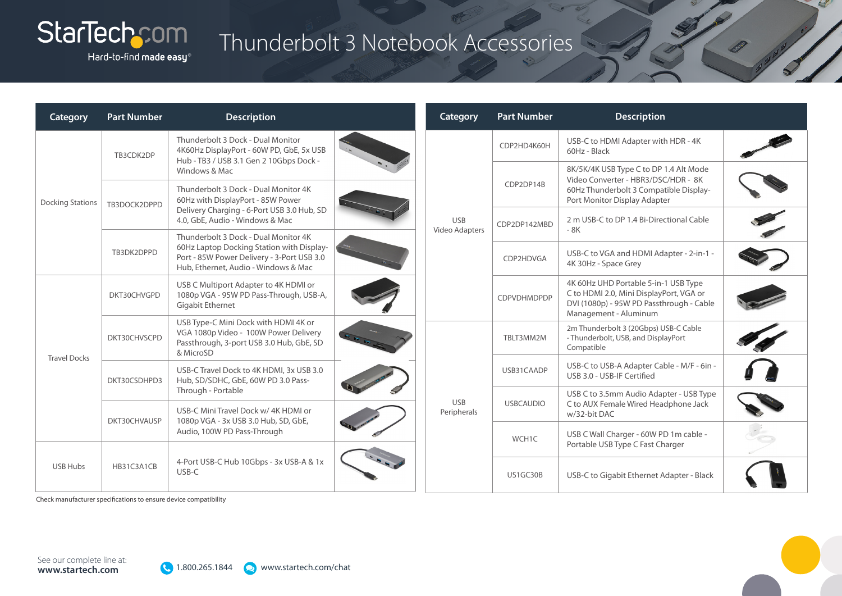

### Hard-to-find made easy®

## Thunderbolt 3 Notebook Accessories

| Category                | <b>Part Number</b>         | <b>Description</b>                                                                                                                                             |                           | Category                     | <b>Part Number</b>                                  | <b>Description</b>                                                                                                                                      |  |
|-------------------------|----------------------------|----------------------------------------------------------------------------------------------------------------------------------------------------------------|---------------------------|------------------------------|-----------------------------------------------------|---------------------------------------------------------------------------------------------------------------------------------------------------------|--|
| <b>Docking Stations</b> | TB3CDK2DP                  | Thunderbolt 3 Dock - Dual Monitor<br>4K60Hz DisplayPort - 60W PD, GbE, 5x USB<br>Hub - TB3 / USB 3.1 Gen 2 10Gbps Dock -                                       |                           | CDP2HD4K60H                  | USB-C to HDMI Adapter with HDR - 4K<br>60Hz - Black |                                                                                                                                                         |  |
|                         |                            | Windows & Mac                                                                                                                                                  |                           | <b>USB</b><br>Video Adapters | CDP2DP14B                                           | 8K/5K/4K USB Type C to DP 1.4 Alt Mode<br>Video Converter - HBR3/DSC/HDR - 8K<br>60Hz Thunderbolt 3 Compatible Display-<br>Port Monitor Display Adapter |  |
|                         | TB3DOCK2DPPD               | Thunderbolt 3 Dock - Dual Monitor 4K<br>60Hz with DisplayPort - 85W Power                                                                                      |                           |                              |                                                     |                                                                                                                                                         |  |
|                         |                            | Delivery Charging - 6-Port USB 3.0 Hub, SD<br>4.0, GbE, Audio - Windows & Mac                                                                                  |                           |                              | CDP2DP142MBD                                        | 2 m USB-C to DP 1.4 Bi-Directional Cable<br>- 8K                                                                                                        |  |
|                         | TB3DK2DPPD                 | Thunderbolt 3 Dock - Dual Monitor 4K<br>60Hz Laptop Docking Station with Display-                                                                              |                           |                              |                                                     |                                                                                                                                                         |  |
|                         |                            | Port - 85W Power Delivery - 3-Port USB 3.0<br>Hub, Ethernet, Audio - Windows & Mac                                                                             |                           |                              | CDP2HDVGA                                           | USB-C to VGA and HDMI Adapter - 2-in-1 -<br>4K 30Hz - Space Grey                                                                                        |  |
| <b>Travel Docks</b>     | DKT30CHVGPD                | USB C Multiport Adapter to 4K HDMI or<br>1080p VGA - 95W PD Pass-Through, USB-A,                                                                               |                           |                              | CDPVDHMDPDP                                         | 4K 60Hz UHD Portable 5-in-1 USB Type<br>C to HDMI 2.0, Mini DisplayPort, VGA or                                                                         |  |
|                         |                            | Gigabit Ethernet                                                                                                                                               |                           |                              |                                                     | DVI (1080p) - 95W PD Passthrough - Cable<br>Management - Aluminum                                                                                       |  |
|                         | DKT30CHVSCPD               | USB Type-C Mini Dock with HDMI 4K or<br>VGA 1080p Video - 100W Power Delivery<br>Passthrough, 3-port USB 3.0 Hub, GbE, SD<br>& MicroSD                         |                           |                              | TBLT3MM2M                                           | 2m Thunderbolt 3 (20Gbps) USB-C Cable<br>- Thunderbolt, USB, and DisplayPort<br>Compatible                                                              |  |
|                         |                            | USB-C Travel Dock to 4K HDMI, 3x USB 3.0<br>Hub, SD/SDHC, GbE, 60W PD 3.0 Pass-                                                                                | <b>USB</b><br>Peripherals |                              | USB31CAADP                                          | USB-C to USB-A Adapter Cable - M/F - 6in -<br>USB 3.0 - USB-IF Certified                                                                                |  |
|                         | DKT30CSDHPD3               | Through - Portable                                                                                                                                             |                           |                              |                                                     | USB C to 3.5mm Audio Adapter - USB Type                                                                                                                 |  |
|                         | DKT30CHVAUSP<br>HB31C3A1CB | USB-C Mini Travel Dock w/4K HDMI or<br>1080p VGA - 3x USB 3.0 Hub, SD, GbE,<br>Audio, 100W PD Pass-Through<br>4-Port USB-C Hub 10Gbps - 3x USB-A & 1x<br>USB-C |                           |                              | <b>USBCAUDIO</b>                                    | C to AUX Female Wired Headphone Jack<br>w/32-bit DAC                                                                                                    |  |
|                         |                            |                                                                                                                                                                |                           |                              | WCH1C                                               | USB C Wall Charger - 60W PD 1m cable -<br>Portable USB Type C Fast Charger                                                                              |  |
| <b>USB Hubs</b>         |                            |                                                                                                                                                                |                           | US1GC30B                     | USB-C to Gigabit Ethernet Adapter - Black           |                                                                                                                                                         |  |

Check manufacturer specifications to ensure device compatibility

See our complete line at:<br>
Www.startech.com/chat See our complete line at:<br>
See our complete line at: **www.startech.com**

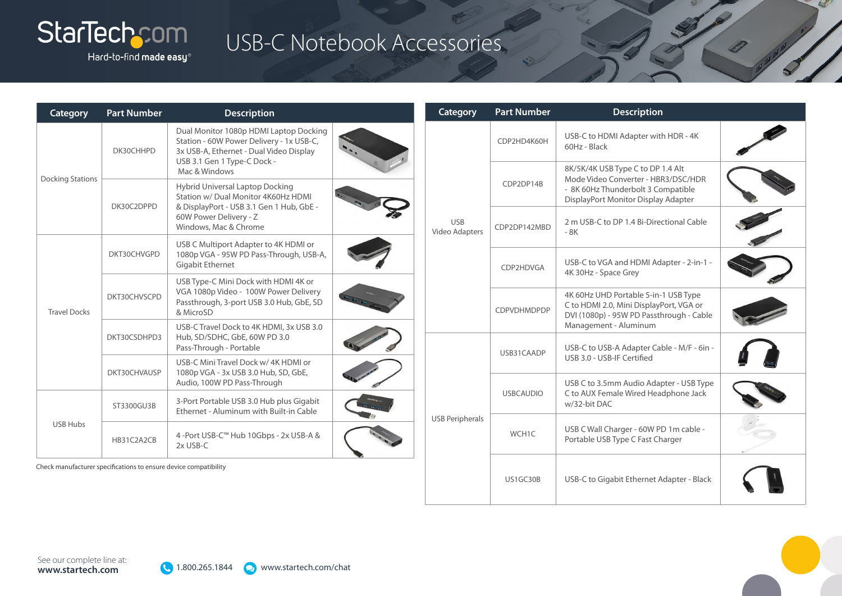# StarTechcom

Hard-to-find made easy $^\circ$ 

| Category                | <b>Part Number</b>                                               | <b>Description</b>                                                                                                                                           |                              | Category               | <b>Part Number</b>                                | <b>Description</b>                                                                                                                                    |  |
|-------------------------|------------------------------------------------------------------|--------------------------------------------------------------------------------------------------------------------------------------------------------------|------------------------------|------------------------|---------------------------------------------------|-------------------------------------------------------------------------------------------------------------------------------------------------------|--|
| <b>Docking Stations</b> | DK30CHHPD                                                        | Dual Monitor 1080p HDMI Laptop Docking<br>Station - 60W Power Delivery - 1x USB-C,<br>3x USB-A, Ethernet - Dual Video Display<br>USB 3.1 Gen 1 Type-C Dock - |                              |                        | CDP2HD4K60H                                       | USB-C to HDMI Adapter with HDR - 4K<br>60Hz - Black                                                                                                   |  |
|                         | DK30C2DPPD                                                       | Mac & Windows<br>Hybrid Universal Laptop Docking<br>Station w/ Dual Monitor 4K60Hz HDMI<br>& DisplayPort - USB 3.1 Gen 1 Hub, GbE -                          |                              |                        | CDP2DP14B                                         | 8K/5K/4K USB Type C to DP 1.4 Alt<br>Mode Video Converter - HBR3/DSC/HDR<br>- 8K 60Hz Thunderbolt 3 Compatible<br>DisplayPort Monitor Display Adapter |  |
|                         |                                                                  | 60W Power Delivery - Z<br>Windows, Mac & Chrome                                                                                                              | <b>USB</b><br>Video Adapters | CDP2DP142MBD           | 2 m USB-C to DP 1.4 Bi-Directional Cable<br>$-8K$ |                                                                                                                                                       |  |
| <b>Travel Docks</b>     | DKT30CHVGPD                                                      | USB C Multiport Adapter to 4K HDMI or<br>1080p VGA - 95W PD Pass-Through, USB-A,<br><b>Gigabit Ethernet</b>                                                  |                              |                        | CDP2HDVGA                                         | USB-C to VGA and HDMI Adapter - 2-in-1 -<br>4K 30Hz - Space Grey                                                                                      |  |
|                         | DKT30CHVSCPD                                                     | USB Type-C Mini Dock with HDMI 4K or<br>VGA 1080p Video - 100W Power Delivery<br>Passthrough, 3-port USB 3.0 Hub, GbE, SD<br>& MicroSD                       |                              |                        | CDPVDHMDPDP                                       | 4K 60Hz UHD Portable 5-in-1 USB Type<br>C to HDMI 2.0, Mini DisplayPort, VGA or<br>DVI (1080p) - 95W PD Passthrough - Cable                           |  |
|                         | DKT30CSDHPD3                                                     | USB-C Travel Dock to 4K HDMI, 3x USB 3.0<br>Hub, SD/SDHC, GbE, 60W PD 3.0<br>Pass-Through - Portable                                                         |                              |                        |                                                   | Management - Aluminum<br>USB-C to USB-A Adapter Cable - M/F - 6in -                                                                                   |  |
|                         | DKT30CHVAUSP                                                     | USB-C Mini Travel Dock w/4K HDMI or<br>1080p VGA - 3x USB 3.0 Hub, SD, GbE,                                                                                  |                              |                        | USB31CAADP                                        | USB 3.0 - USB-IF Certified                                                                                                                            |  |
| <b>USB Hubs</b>         |                                                                  | Audio, 100W PD Pass-Through<br>3-Port Portable USB 3.0 Hub plus Gigabit                                                                                      |                              |                        | <b>USBCAUDIO</b>                                  | USB C to 3.5mm Audio Adapter - USB Type<br>C to AUX Female Wired Headphone Jack<br>w/32-bit DAC                                                       |  |
|                         | ST3300GU3B                                                       | Ethernet - Aluminum with Built-in Cable                                                                                                                      |                              | <b>USB Peripherals</b> |                                                   |                                                                                                                                                       |  |
|                         | HB31C2A2CB                                                       | 4 -Port USB-C™ Hub 10Gbps - 2x USB-A &<br>2x USB-C                                                                                                           |                              |                        | WCH1C                                             | USB C Wall Charger - 60W PD 1m cable -<br>Portable USB Type C Fast Charger                                                                            |  |
|                         | Check manufacturer specifications to ensure device compatibility |                                                                                                                                                              |                              |                        | US1GC30B                                          | USB-C to Gigabit Ethernet Adapter - Black                                                                                                             |  |

USB-C Notebook Accessories

See our complete line at:<br>
Www.startech.com<br>
See our complete line at:<br>
See our complete line at: **www.startech.com**